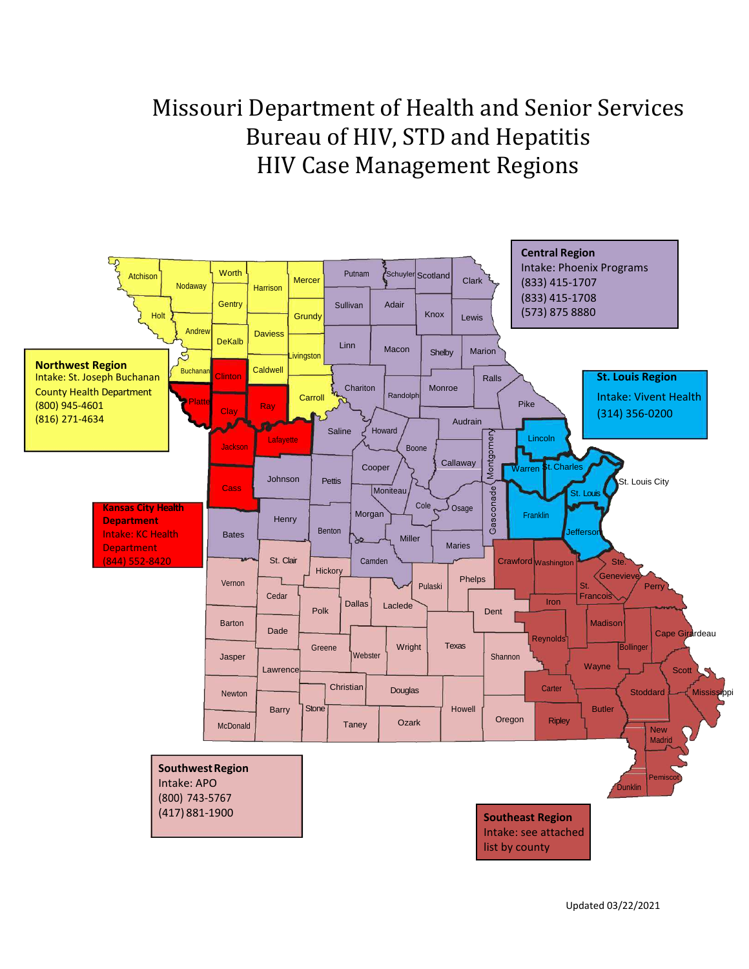# Missouri Department of Health and Senior Services Bureau of HIV, STD and Hepatitis HIV Case Management Regions

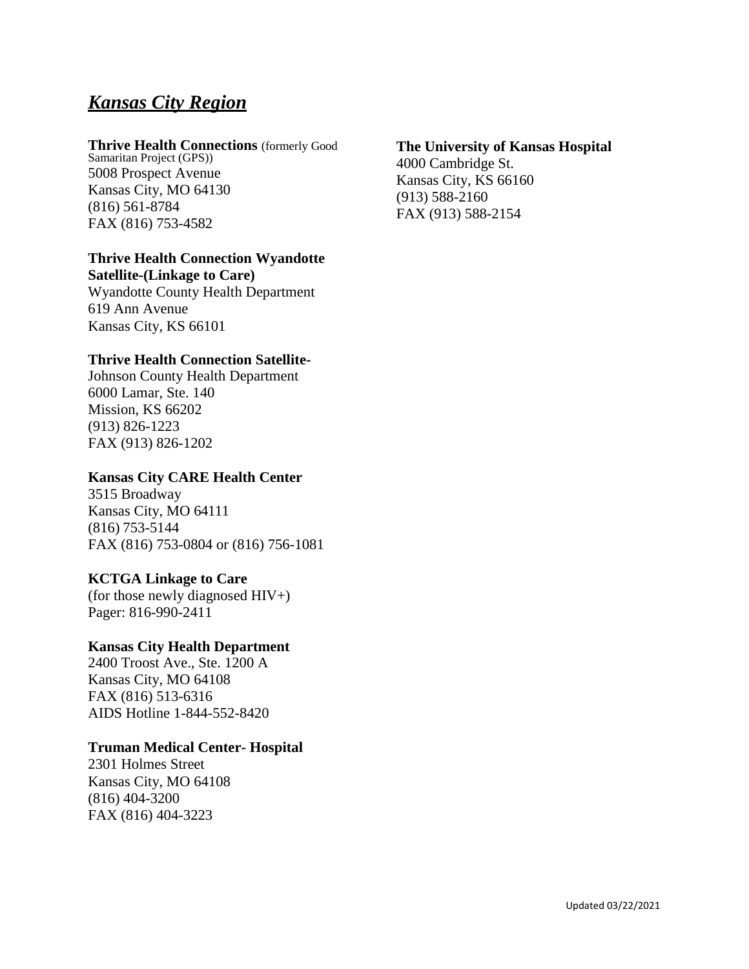# *Kansas City Region*

#### **Thrive Health Connections** (formerly Good

Samaritan Project (GPS)) 5008 Prospect Avenue Kansas City, MO 64130 (816) 561-8784 FAX (816) 753-4582

#### **Thrive Health Connection Wyandotte**

**Satellite-(Linkage to Care)** Wyandotte County Health Department 619 Ann Avenue Kansas City, KS 66101

#### **Thrive Health Connection Satellite-**

Johnson County Health Department 6000 Lamar, Ste. 140 Mission, KS 66202 (913) 826-1223 FAX (913) 826-1202

#### **Kansas City CARE Health Center**

3515 Broadway Kansas City, MO 64111 (816) 753-5144 FAX (816) 753-0804 or (816) 756-1081

#### **KCTGA Linkage to Care**

(for those newly diagnosed HIV+) Pager: 816-990-2411

#### **Kansas City Health Department**

2400 Troost Ave., Ste. 1200 A Kansas City, MO 64108 FAX (816) 513-6316 AIDS Hotline 1-844-552-8420

#### **Truman Medical Center- Hospital**

2301 Holmes Street Kansas City, MO 64108 (816) 404-3200 FAX (816) 404-3223

#### **The University of Kansas Hospital**

4000 Cambridge St. Kansas City, KS 66160 (913) 588-2160 FAX (913) 588-2154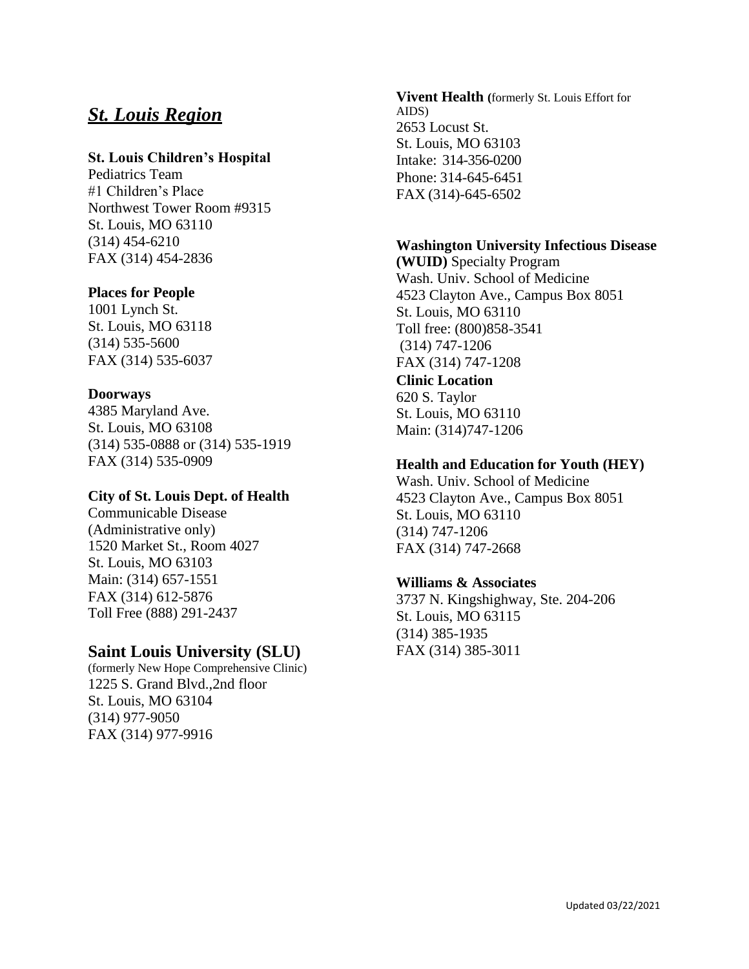### *St. Louis Region*

#### **St. Louis Children's Hospital**

Pediatrics Team #1 Children's Place Northwest Tower Room #9315 St. Louis, MO 63110 (314) 454-6210 FAX (314) 454-2836

#### **Places for People**

1001 Lynch St. St. Louis, MO 63118 (314) 535-5600 FAX (314) 535-6037

#### **Doorways**

4385 Maryland Ave. St. Louis, MO 63108 (314) 535-0888 or (314) 535-1919 FAX (314) 535-0909

#### **City of St. Louis Dept. of Health**

Communicable Disease (Administrative only) 1520 Market St., Room 4027 St. Louis, MO 63103 Main: (314) 657-1551 FAX (314) 612-5876 Toll Free (888) 291-2437

#### **Saint Louis University (SLU)**

(formerly New Hope Comprehensive Clinic) 1225 S. Grand Blvd.,2nd floor St. Louis, MO 63104 (314) 977-9050 FAX (314) 977-9916

**Vivent Health (**formerly St. Louis Effort for AIDS) 2653 Locust St. St. Louis, MO 63103 Intake: 314-356-0200 Phone: 314-645-6451 FAX (314)-645-6502

#### **Washington University Infectious Disease**

**(WUID)** Specialty Program Wash. Univ. School of Medicine 4523 Clayton Ave., Campus Box 8051 St. Louis, MO 63110 Toll free: (800)858-3541 (314) 747-1206 FAX (314) 747-1208 **Clinic Location**

620 S. Taylor St. Louis, MO 63110 Main: (314)747-1206

#### **Health and Education for Youth (HEY)**

Wash. Univ. School of Medicine 4523 Clayton Ave., Campus Box 8051 St. Louis, MO 63110 (314) 747-1206 FAX (314) 747-2668

#### **Williams & Associates**

3737 N. Kingshighway, Ste. 204-206 St. Louis, MO 63115 (314) 385-1935 FAX (314) 385-3011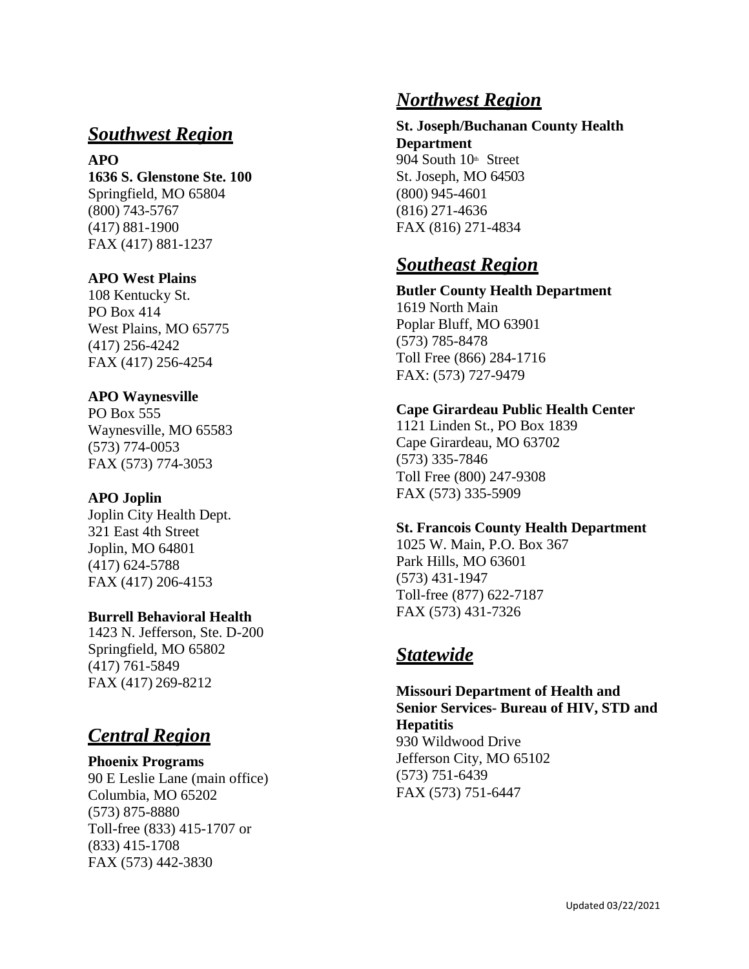## *Southwest Region*

**APO 1636 S. Glenstone Ste. 100** Springfield, MO 65804 (800) 743 -5767 (417) 881 -1900 FAX (417) 881 -1237

#### **APO West Plains**

108 Kentucky St. PO Box 414 West Plains, MO 65775 (417) 256 -4242 FAX (417) 256 -4254

#### **APO Waynesville**

PO Box 555 Waynesville, MO 65583 (573) 774 -0053 FAX (573) 774 -3053

#### **APO Joplin**

Joplin City Health Dept. 321 East 4th Street Joplin, MO 6480 1 (417) 624 -5788 FAX (417) 206 -4153

#### **Burrell Behavioral Health**

1423 N. Jefferson, Ste. D -200 Springfield, MO 65802 (417) 761 -5849 FAX (417) 269 -8212

# *Central Region*

**Phoenix Programs** 90 E Leslie Lane (main office) Columbia, MO 65202 (573) 875 -8880 Toll -free (833) 415 -1707 or (833) 415 -1708 FAX (573) 442 -3830

### *Northwest Region*

**St. Joseph/Buchanan County Health Department** 904 South 10<sup>th</sup> Street St. Joseph, MO 64503 (800) 945 -4601 (816) 271 -4636 FAX (816) 271 -4834

# *Southeast Region*

**Butler County Health Department** 1619 North Main Poplar Bluff, MO 63901 (573) 785 -8478 Toll Free (866) 284 -1716 FAX: (573) 727 -9479

#### **Cape Girardeau Public Health Center**

1121 Linden St., PO Box 1839 Cape Girardeau, MO 63702 (573) 335 -7846 Toll Free (800) 247 -9308 FAX (573) 335 -5909

#### **St. Francois County Health Department**

1025 W. Main, P.O. Box 367 Park Hills, MO 63601 (573) 431 -1947 Toll -free (877) 622 -7187 FAX (573) 431 -7326

### *Statewide*

**Missouri Department of Health and Senior Services - Bureau of HIV, STD and Hepatitis** 930 Wildwood Drive Jefferson City, MO 65102 (573) 751 -6439 FAX (573) 751 -6447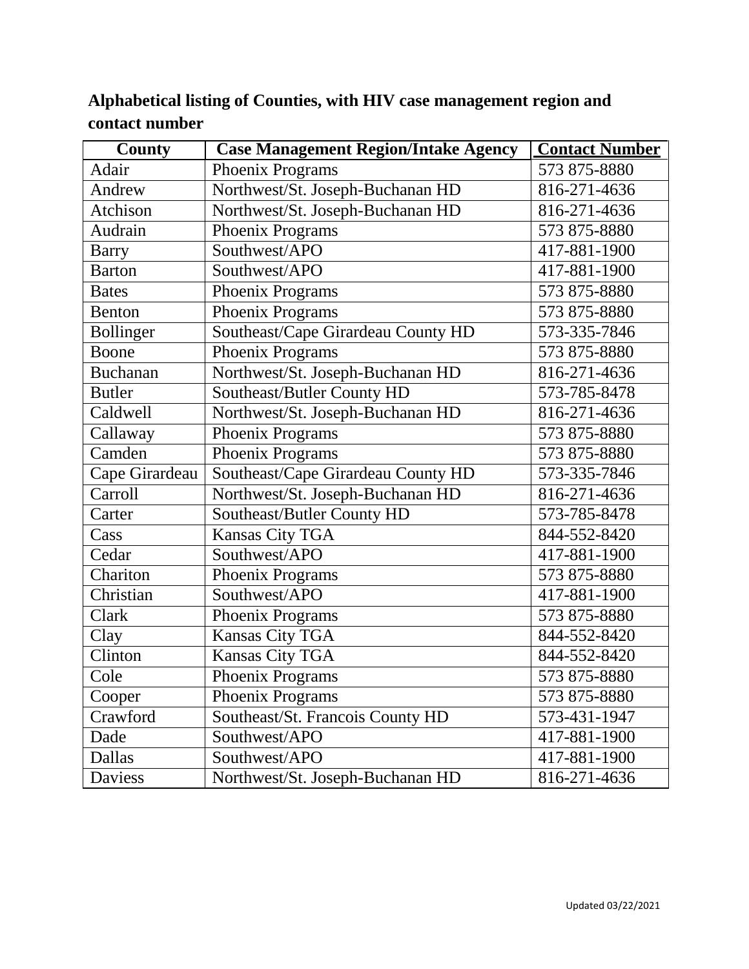| <b>County</b>    | <b>Case Management Region/Intake Agency</b> | <b>Contact Number</b> |
|------------------|---------------------------------------------|-----------------------|
| Adair            | Phoenix Programs                            | 573 875-8880          |
| Andrew           | Northwest/St. Joseph-Buchanan HD            | 816-271-4636          |
| Atchison         | Northwest/St. Joseph-Buchanan HD            | 816-271-4636          |
| Audrain          | Phoenix Programs                            | 573 875-8880          |
| Barry            | Southwest/APO                               | 417-881-1900          |
| <b>Barton</b>    | Southwest/APO                               | 417-881-1900          |
| <b>Bates</b>     | Phoenix Programs                            | 573 875-8880          |
| <b>Benton</b>    | Phoenix Programs                            | 573 875-8880          |
| <b>Bollinger</b> | Southeast/Cape Girardeau County HD          | 573-335-7846          |
| Boone            | Phoenix Programs                            | 573 875-8880          |
| <b>Buchanan</b>  | Northwest/St. Joseph-Buchanan HD            | 816-271-4636          |
| <b>Butler</b>    | Southeast/Butler County HD                  | 573-785-8478          |
| Caldwell         | Northwest/St. Joseph-Buchanan HD            | 816-271-4636          |
| Callaway         | Phoenix Programs                            | 573 875-8880          |
| Camden           | Phoenix Programs                            | 573 875-8880          |
| Cape Girardeau   | Southeast/Cape Girardeau County HD          | 573-335-7846          |
| Carroll          | Northwest/St. Joseph-Buchanan HD            | 816-271-4636          |
| Carter           | Southeast/Butler County HD                  | 573-785-8478          |
| Cass             | Kansas City TGA                             | 844-552-8420          |
| Cedar            | Southwest/APO                               | 417-881-1900          |
| Chariton         | Phoenix Programs                            | 573 875-8880          |
| Christian        | Southwest/APO                               | 417-881-1900          |
| Clark            | Phoenix Programs                            | 573 875-8880          |
| Clay             | Kansas City TGA                             | 844-552-8420          |
| Clinton          | Kansas City TGA                             | 844-552-8420          |
| Cole             | Phoenix Programs                            | 573 875-8880          |
| Cooper           | <b>Phoenix Programs</b>                     | 573 875-8880          |
| Crawford         | Southeast/St. Francois County HD            | 573-431-1947          |
| Dade             | Southwest/APO                               | 417-881-1900          |
| Dallas           | Southwest/APO                               | 417-881-1900          |
| Daviess          | Northwest/St. Joseph-Buchanan HD            | 816-271-4636          |

# **Alphabetical listing of Counties, with HIV case management region and contact number**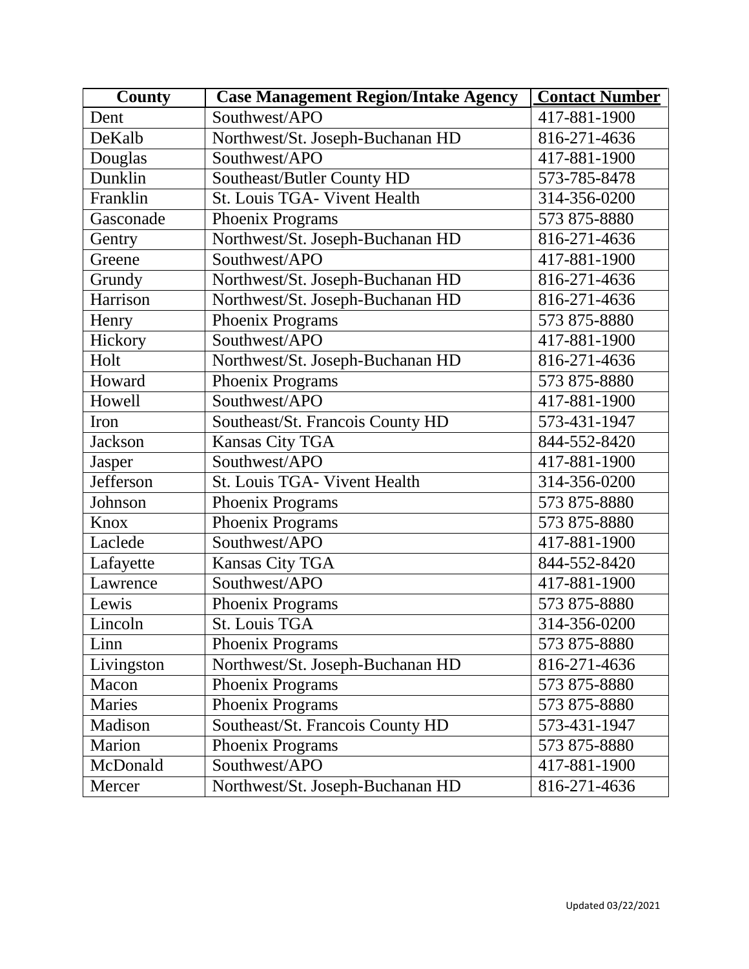| <b>County</b>  | <b>Case Management Region/Intake Agency</b> | <b>Contact Number</b> |
|----------------|---------------------------------------------|-----------------------|
| Dent           | Southwest/APO                               | 417-881-1900          |
| DeKalb         | Northwest/St. Joseph-Buchanan HD            | 816-271-4636          |
| Douglas        | Southwest/APO                               | 417-881-1900          |
| Dunklin        | Southeast/Butler County HD                  | 573-785-8478          |
| Franklin       | St. Louis TGA- Vivent Health                | 314-356-0200          |
| Gasconade      | Phoenix Programs                            | 573 875-8880          |
| Gentry         | Northwest/St. Joseph-Buchanan HD            | 816-271-4636          |
| Greene         | Southwest/APO                               | 417-881-1900          |
| Grundy         | Northwest/St. Joseph-Buchanan HD            | 816-271-4636          |
| Harrison       | Northwest/St. Joseph-Buchanan HD            | 816-271-4636          |
| Henry          | Phoenix Programs                            | 573 875-8880          |
| Hickory        | Southwest/APO                               | 417-881-1900          |
| Holt           | Northwest/St. Joseph-Buchanan HD            | 816-271-4636          |
| Howard         | Phoenix Programs                            | 573 875-8880          |
| Howell         | Southwest/APO                               | 417-881-1900          |
| Iron           | Southeast/St. Francois County HD            | 573-431-1947          |
| <b>Jackson</b> | <b>Kansas City TGA</b>                      | 844-552-8420          |
| Jasper         | Southwest/APO                               | 417-881-1900          |
| Jefferson      | St. Louis TGA- Vivent Health                | 314-356-0200          |
| Johnson        | Phoenix Programs                            | 573 875-8880          |
| Knox           | Phoenix Programs                            | 573 875-8880          |
| Laclede        | Southwest/APO                               | 417-881-1900          |
| Lafayette      | Kansas City TGA                             | 844-552-8420          |
| Lawrence       | Southwest/APO                               | 417-881-1900          |
| Lewis          | Phoenix Programs                            | 573 875-8880          |
| Lincoln        | St. Louis TGA                               | 314-356-0200          |
| Linn           | Phoenix Programs                            | 573 875-8880          |
| Livingston     | Northwest/St. Joseph-Buchanan HD            | 816-271-4636          |
| Macon          | Phoenix Programs                            | 573 875-8880          |
| Maries         | Phoenix Programs                            | 573 875-8880          |
| Madison        | Southeast/St. Francois County HD            | 573-431-1947          |
| Marion         | Phoenix Programs                            | 573 875-8880          |
| McDonald       | Southwest/APO                               | 417-881-1900          |
| Mercer         | Northwest/St. Joseph-Buchanan HD            | 816-271-4636          |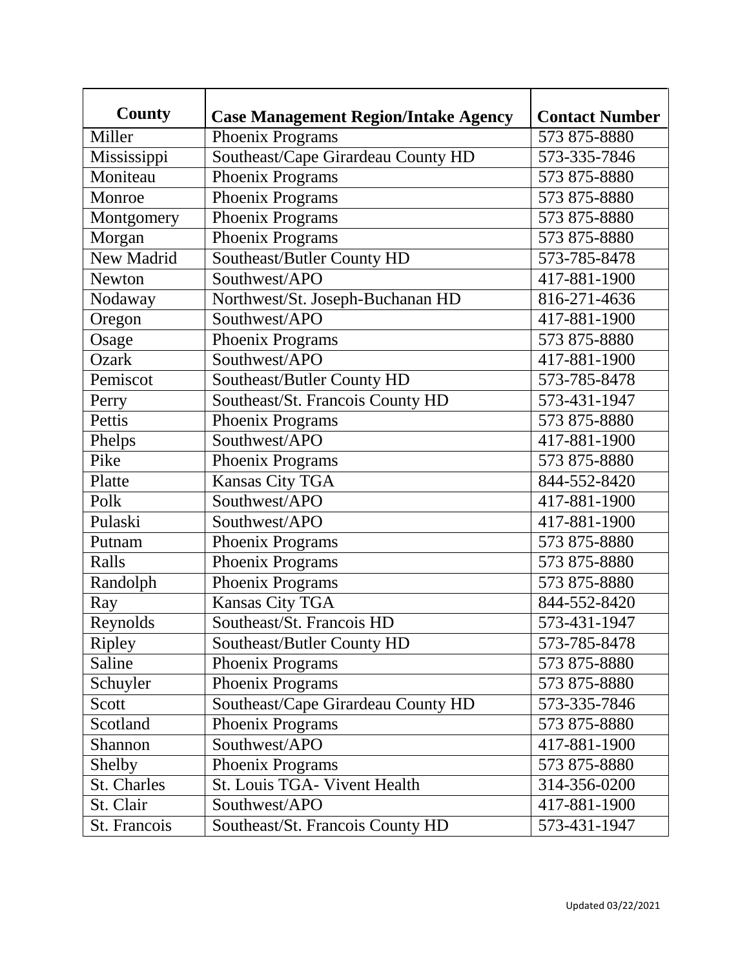| County        | <b>Case Management Region/Intake Agency</b> | <b>Contact Number</b> |
|---------------|---------------------------------------------|-----------------------|
| Miller        | Phoenix Programs                            | 573 875-8880          |
| Mississippi   | Southeast/Cape Girardeau County HD          | 573-335-7846          |
| Moniteau      | Phoenix Programs                            | 573 875-8880          |
| Monroe        | Phoenix Programs                            | 573 875-8880          |
| Montgomery    | Phoenix Programs                            | 573 875-8880          |
| Morgan        | Phoenix Programs                            | 573 875-8880          |
| New Madrid    | Southeast/Butler County HD                  | 573-785-8478          |
| <b>Newton</b> | Southwest/APO                               | 417-881-1900          |
| Nodaway       | Northwest/St. Joseph-Buchanan HD            | 816-271-4636          |
| Oregon        | Southwest/APO                               | 417-881-1900          |
| Osage         | Phoenix Programs                            | 573 875-8880          |
| <b>Ozark</b>  | Southwest/APO                               | 417-881-1900          |
| Pemiscot      | Southeast/Butler County HD                  | 573-785-8478          |
| Perry         | Southeast/St. Francois County HD            | 573-431-1947          |
| Pettis        | Phoenix Programs                            | 573 875-8880          |
| Phelps        | Southwest/APO                               | 417-881-1900          |
| Pike          | Phoenix Programs                            | 573 875-8880          |
| Platte        | <b>Kansas City TGA</b>                      | 844-552-8420          |
| Polk          | Southwest/APO                               | 417-881-1900          |
| Pulaski       | Southwest/APO                               | 417-881-1900          |
| Putnam        | Phoenix Programs                            | 573 875-8880          |
| Ralls         | Phoenix Programs                            | 573 875-8880          |
| Randolph      | Phoenix Programs                            | 573 875-8880          |
| Ray           | <b>Kansas City TGA</b>                      | 844-552-8420          |
| Reynolds      | Southeast/St. Francois HD                   | 573-431-1947          |
| Ripley        | Southeast/Butler County HD                  | 573-785-8478          |
| Saline        | Phoenix Programs                            | 573 875-8880          |
| Schuyler      | Phoenix Programs                            | 573 875-8880          |
| Scott         | Southeast/Cape Girardeau County HD          | 573-335-7846          |
| Scotland      | Phoenix Programs                            | 573 875-8880          |
| Shannon       | Southwest/APO                               | 417-881-1900          |
| Shelby        | Phoenix Programs                            | 573 875-8880          |
| St. Charles   | St. Louis TGA- Vivent Health                | 314-356-0200          |
| St. Clair     | Southwest/APO                               | 417-881-1900          |
| St. Francois  | Southeast/St. Francois County HD            | 573-431-1947          |